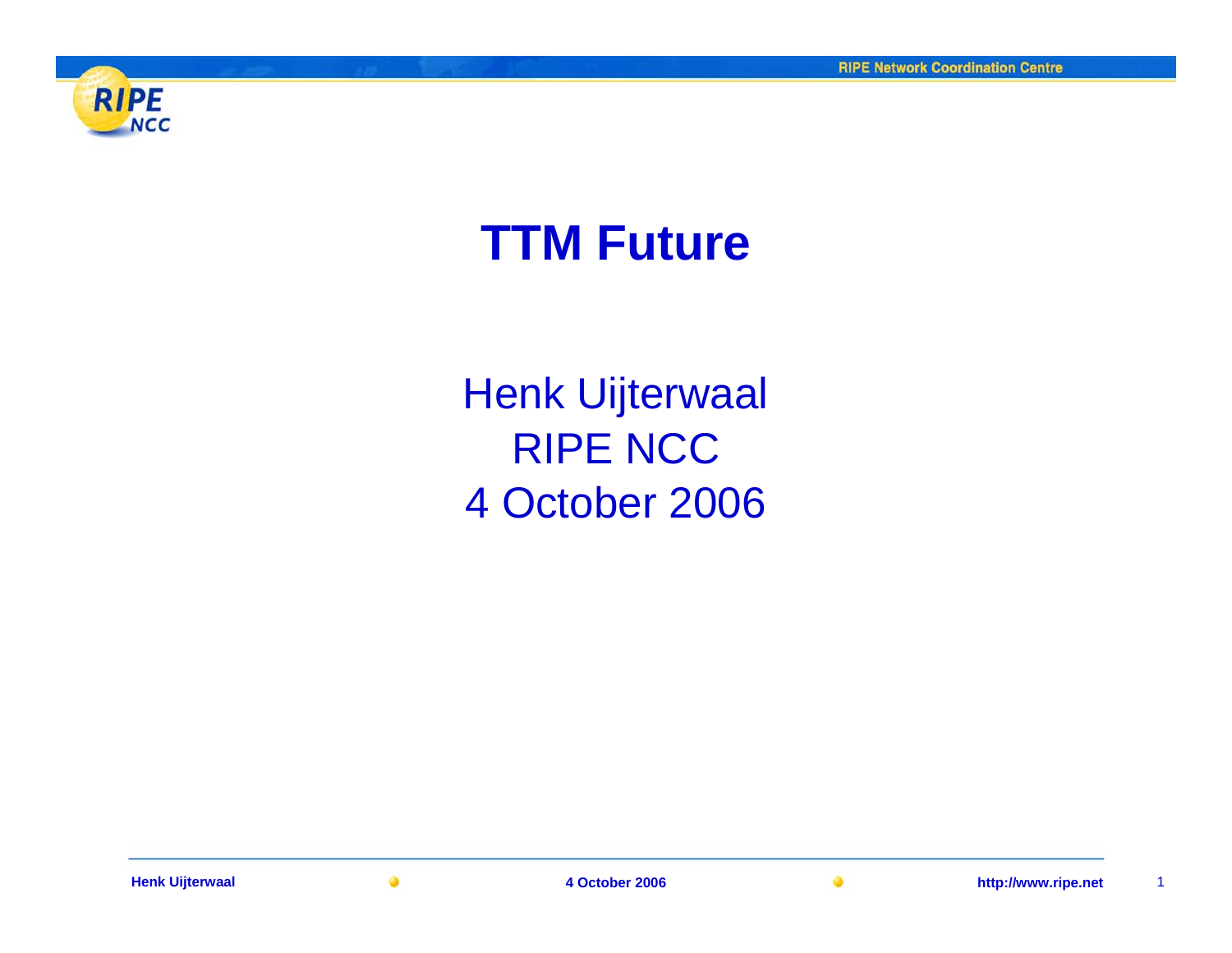

# **TTM Future**

Henk Uijterwaal RIPE NCC4 October 2006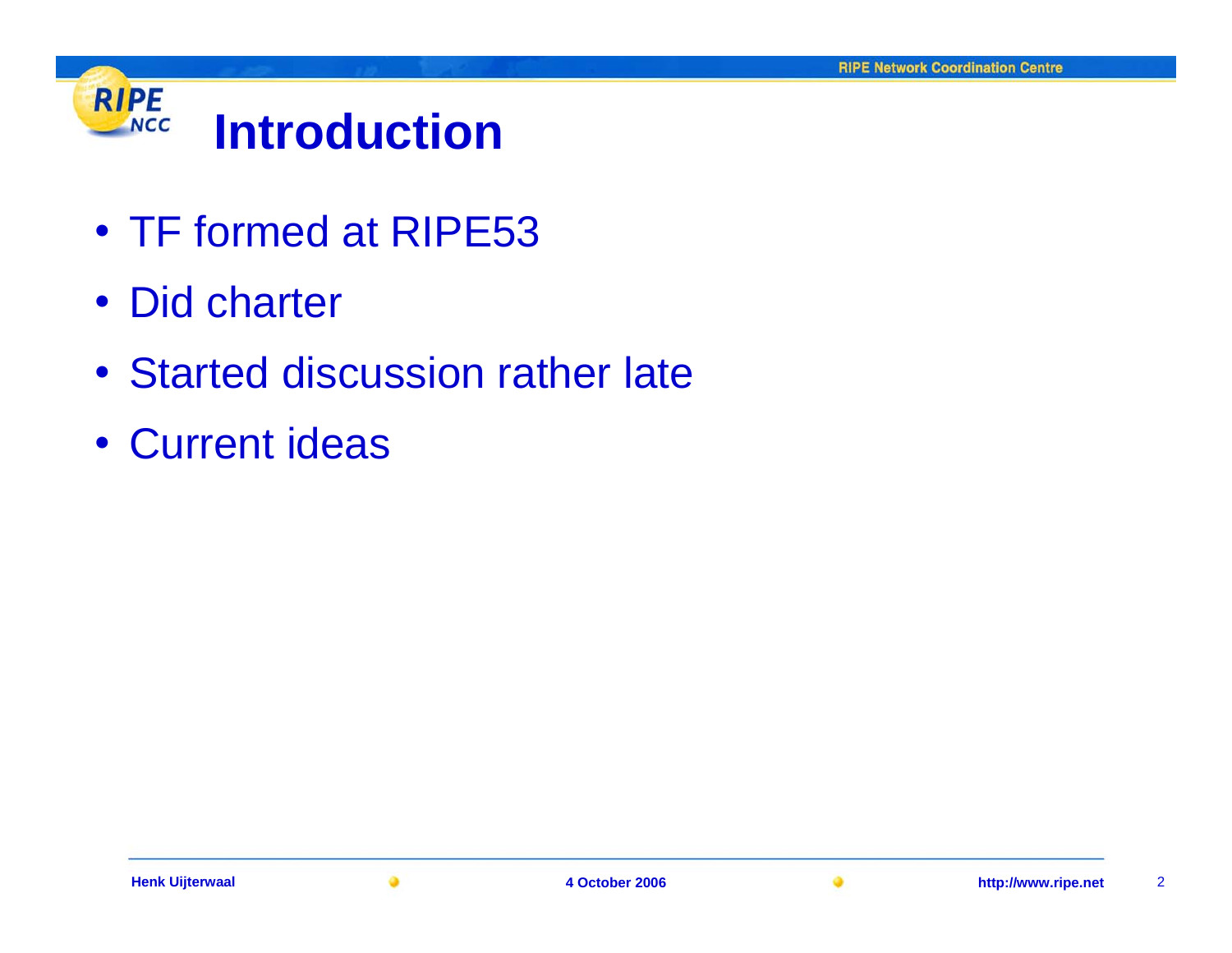

- TF formed at RIPE53
- Did charter
- Started discussion rather late
- Current ideas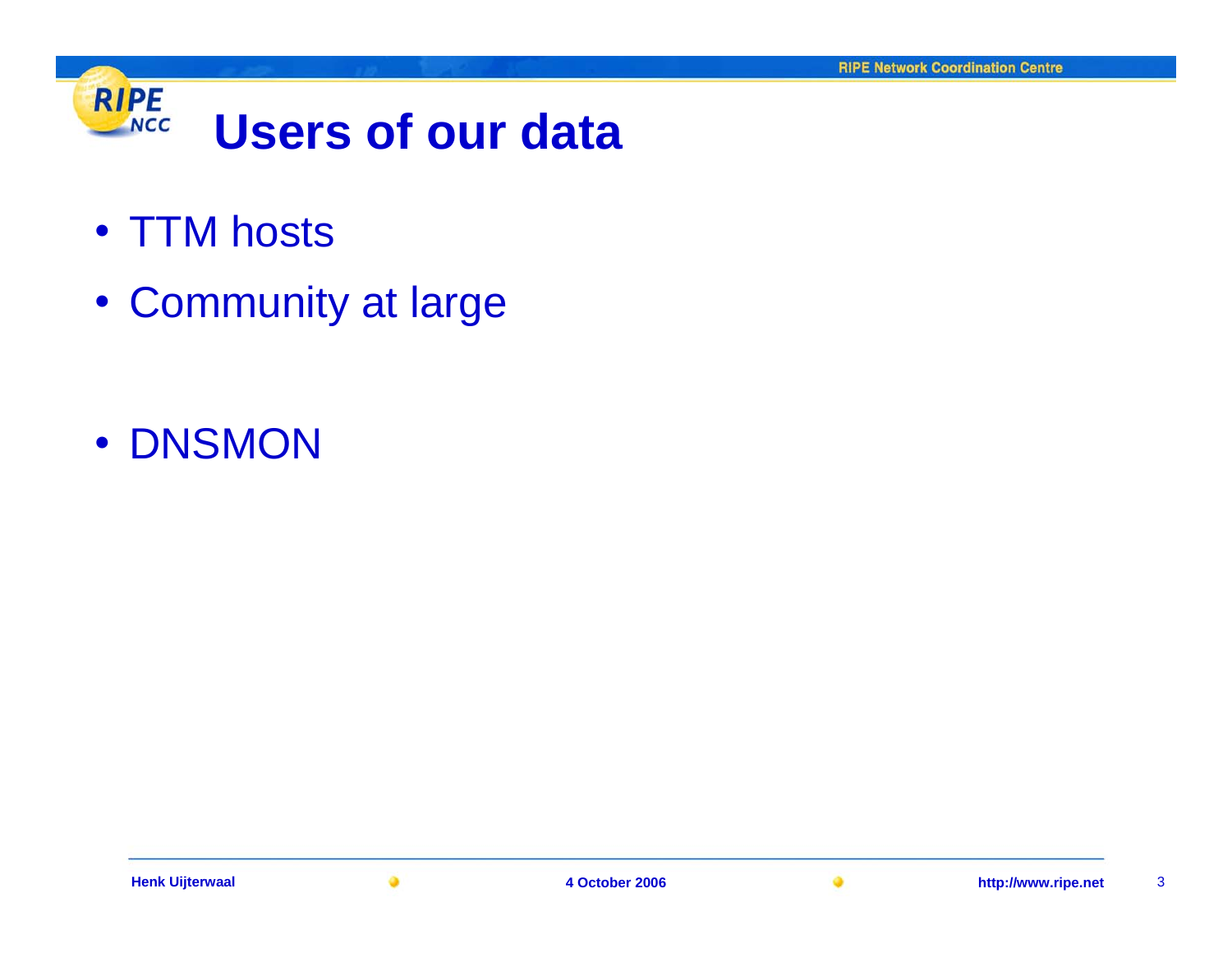

- TTM hosts
- Community at large

• DNSMON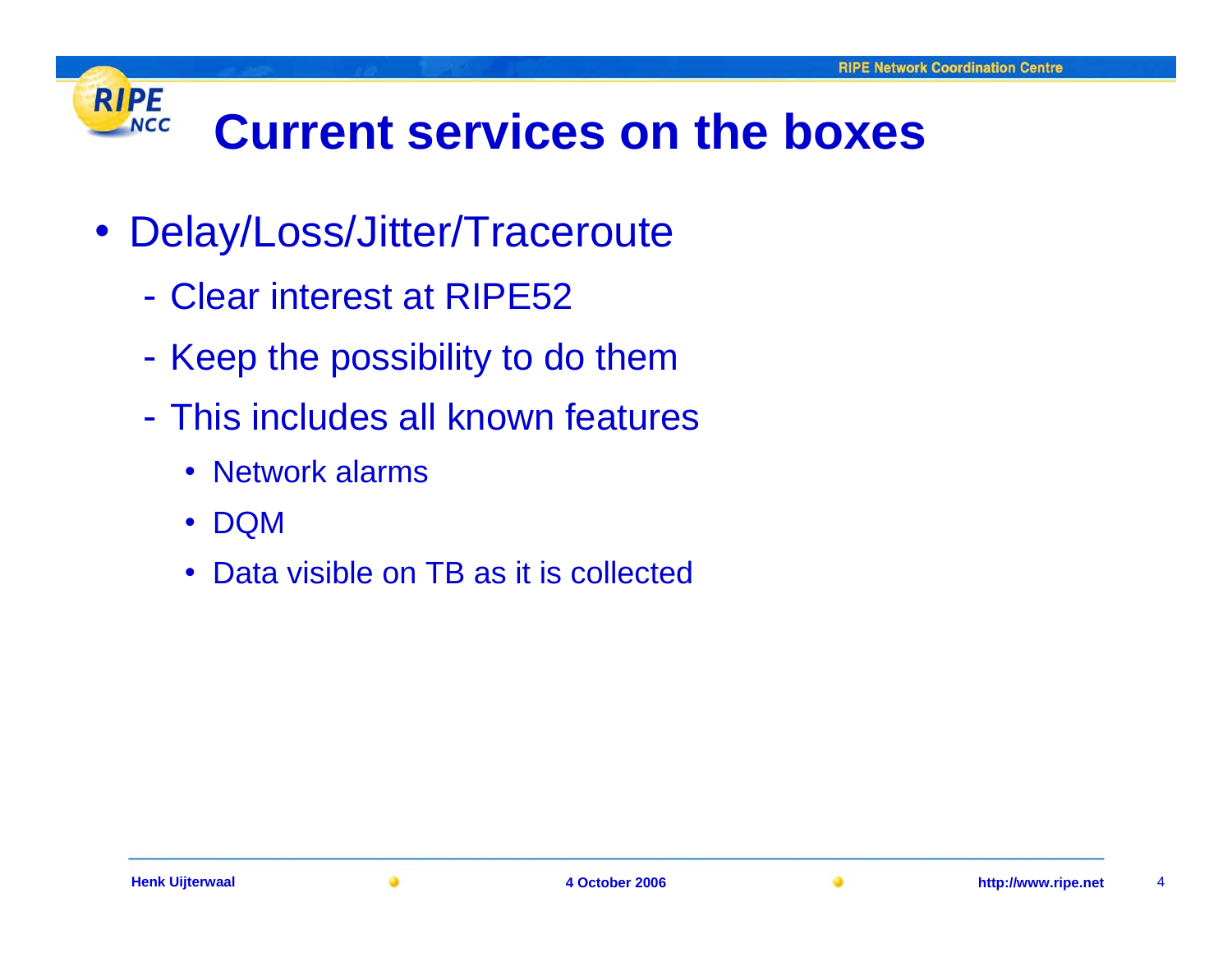#### **RIPE Current services on the boxes NCC**

- Delay/Loss/Jitter/Traceroute
	- Clear interest at RIPE52
	- Keep the possibility to do them
	- This includes all known features
		- Network alarms
		- $\bullet$ DQM
		- $\bullet$ Data visible on TB as it is collected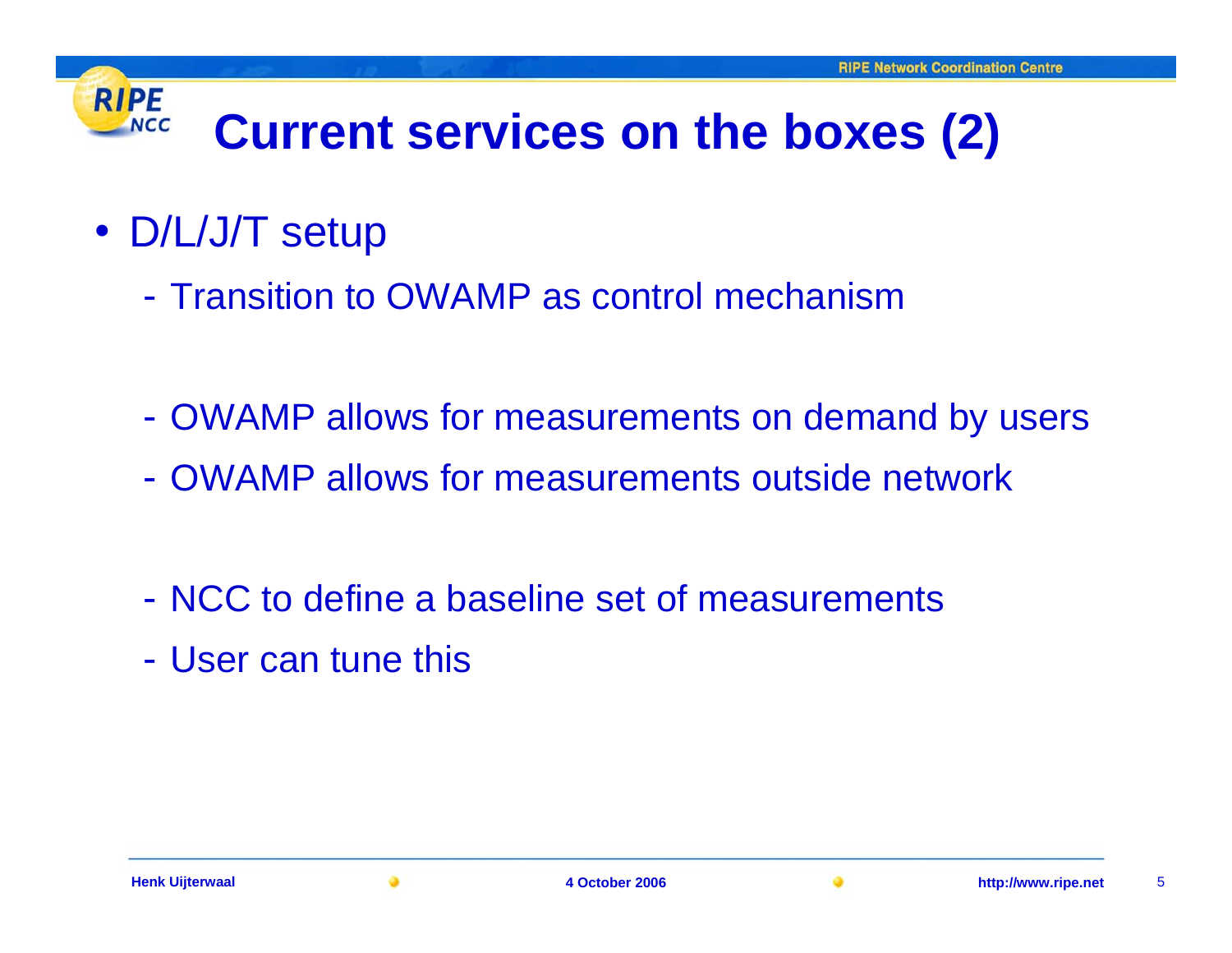#### **RIPE Current services on the boxes (2) NCC**

- D/L/J/T setup
	- Transition to OWAMP as control mechanism
	- -OWAMP allows for measurements on demand by users
	- OWAMP allows for measurements outside network
	- NCC to define a baseline set of measurements
	- User can tune this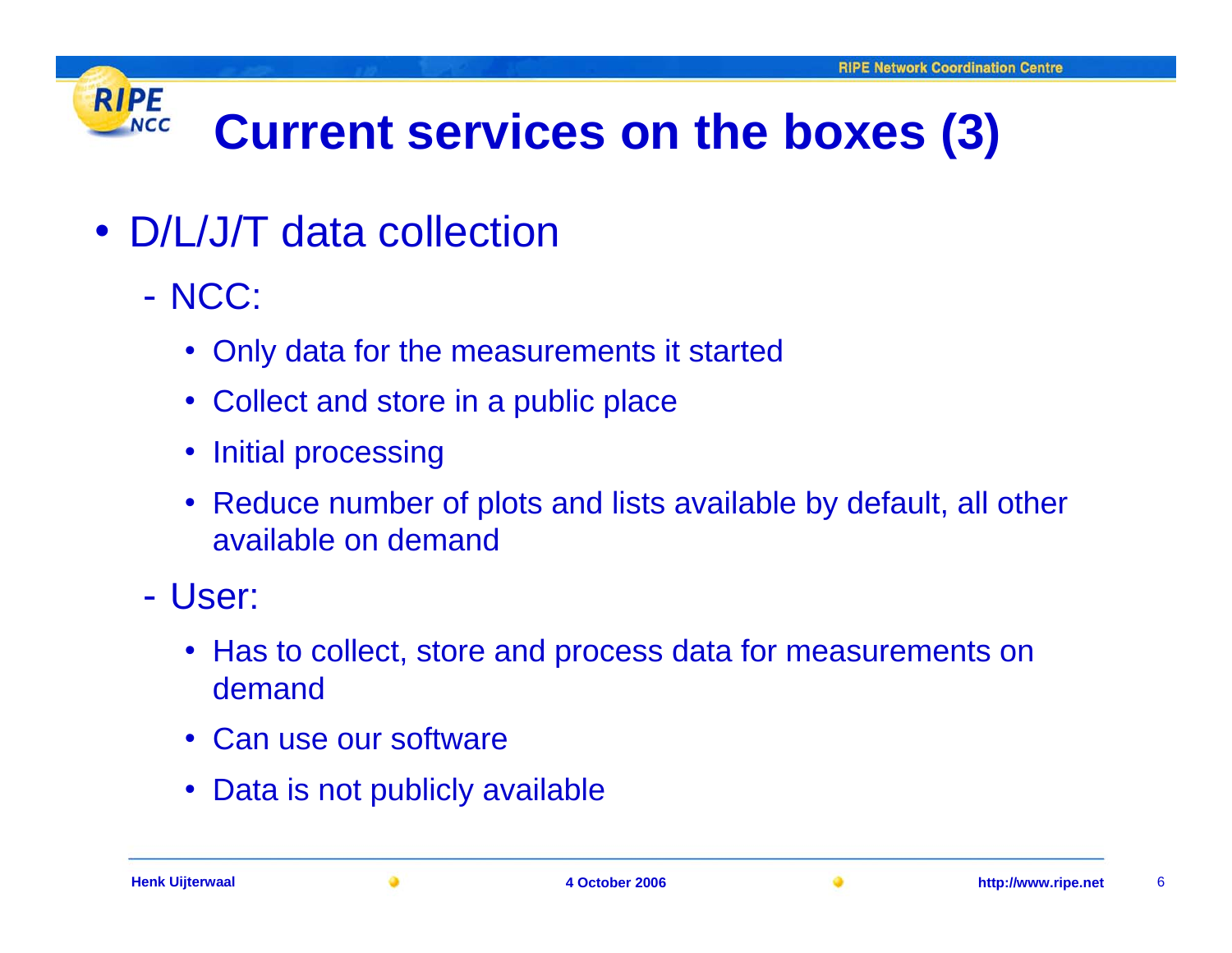#### **RIPE Current services on the boxes (3) NCC**

- D/L/J/T data collection
	- NCC:
		- Only data for the measurements it started
		- Collect and store in a public place
		- •Initial processing
		- Reduce number of plots and lists available by default, all other available on demand
	- User:
		- Has to collect, store and process data for measurements on demand
		- Can use our software
		- Data is not publicly available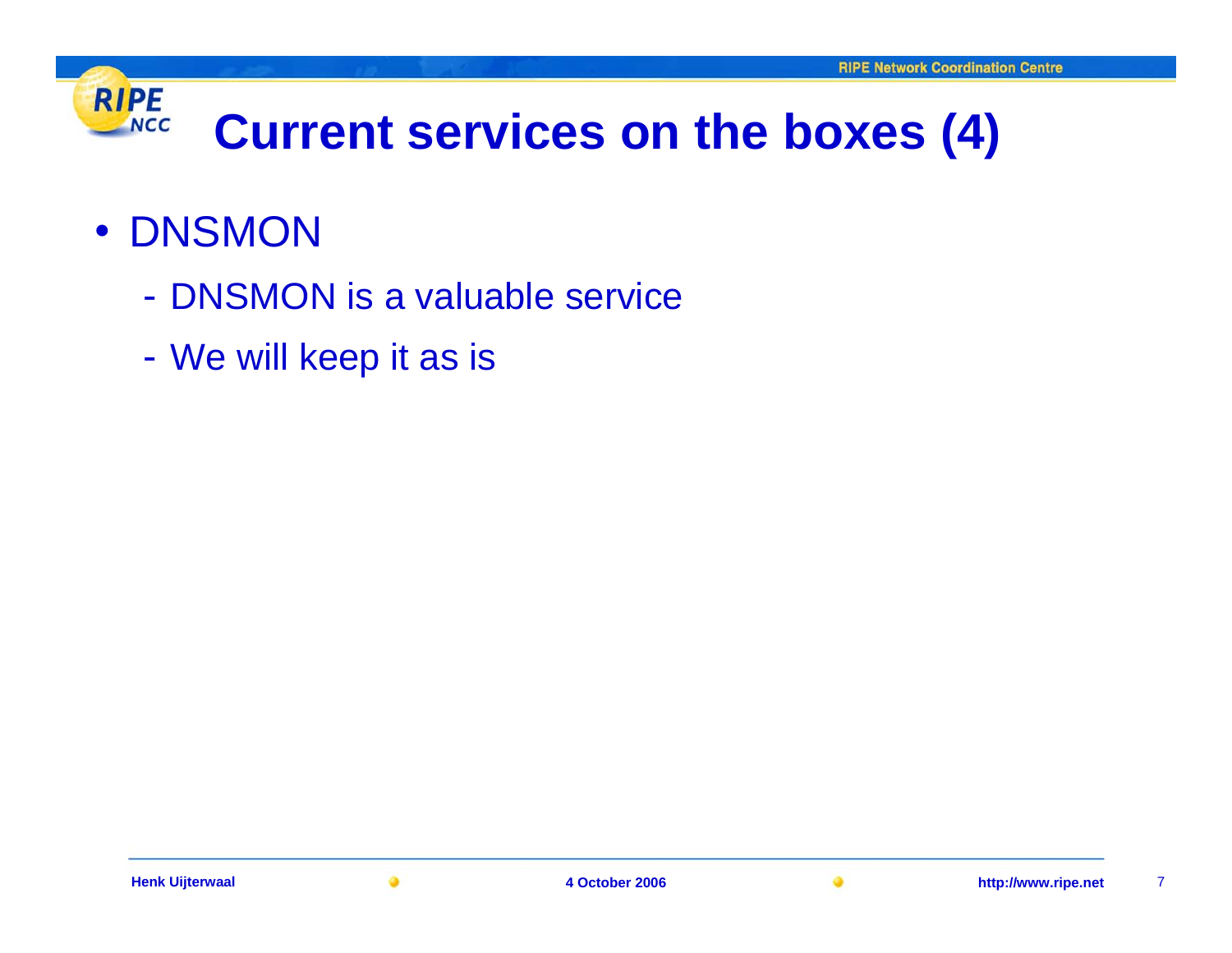## **RIPE Current services on the boxes (4) NCC**

## • DNSMON

- DNSMON is a valuable service
- We will keep it as is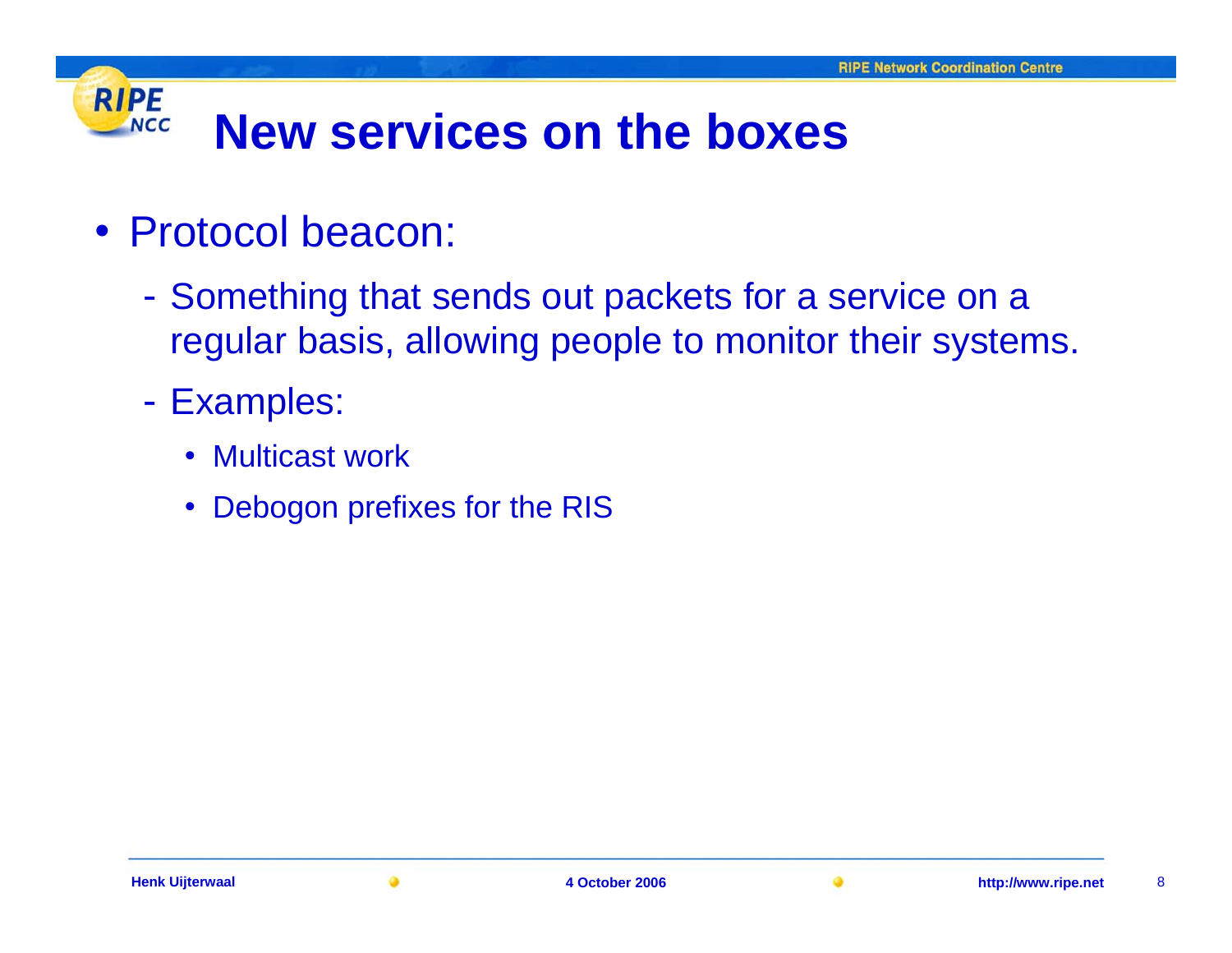#### **RIPE New services on the boxesNCC**

- Protocol beacon:
	- Something that sends out packets for a service on a regular basis, allowing people to monitor their systems.
	- Examples:
		- Multicast work
		- •Debogon prefixes for the RIS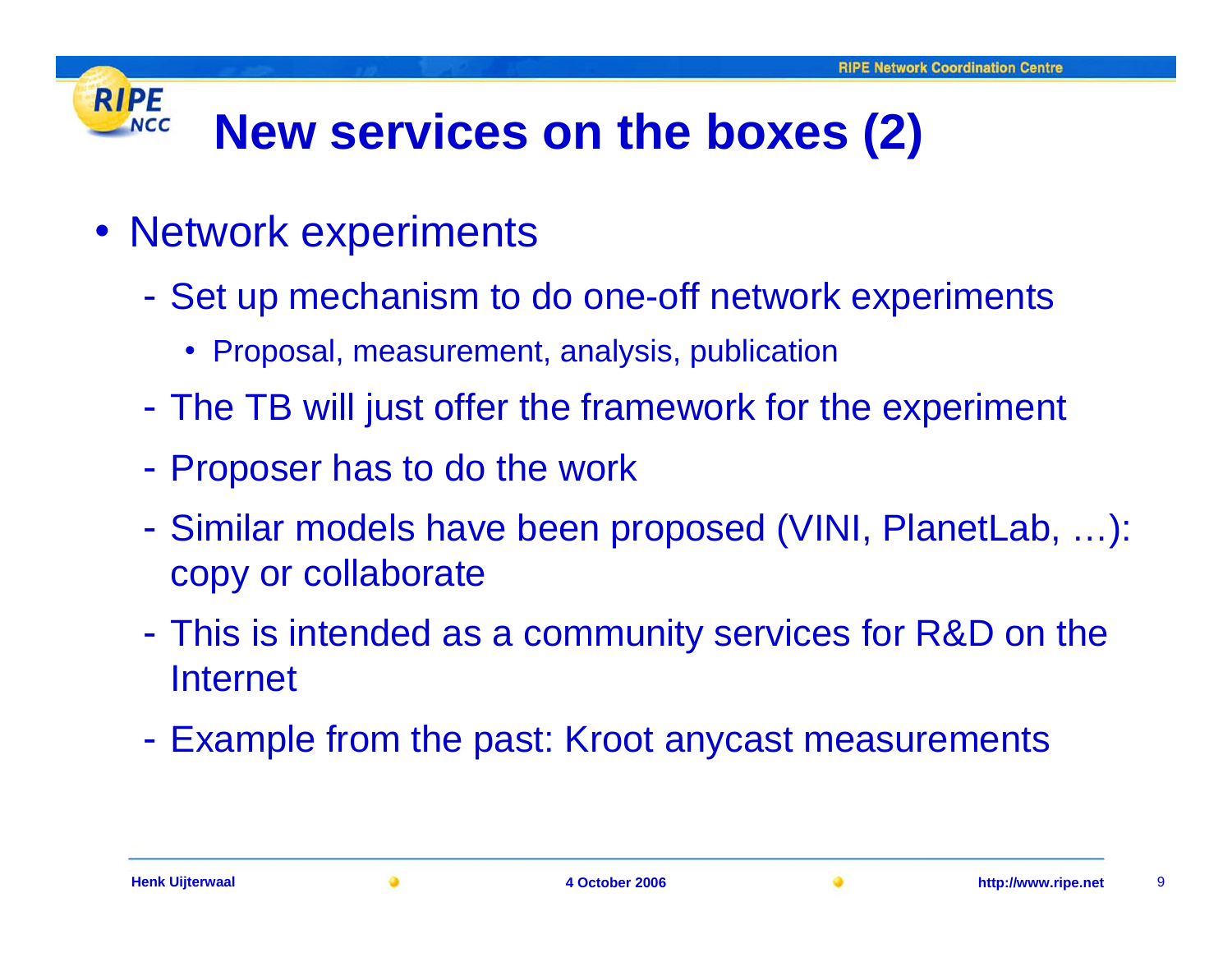#### **RIPE New services on the boxes (2) NCC**

- Network experiments
	- Set up mechanism to do one-off network experiments
		- Proposal, measurement, analysis, publication
	- The TB will just offer the framework for the experiment
	- Proposer has to do the work
	- Similar models have been proposed (VINI, PlanetLab, …): copy or collaborate
	- This is intended as a community services for R&D on the Internet
	- Example from the past: Kroot anycast measurements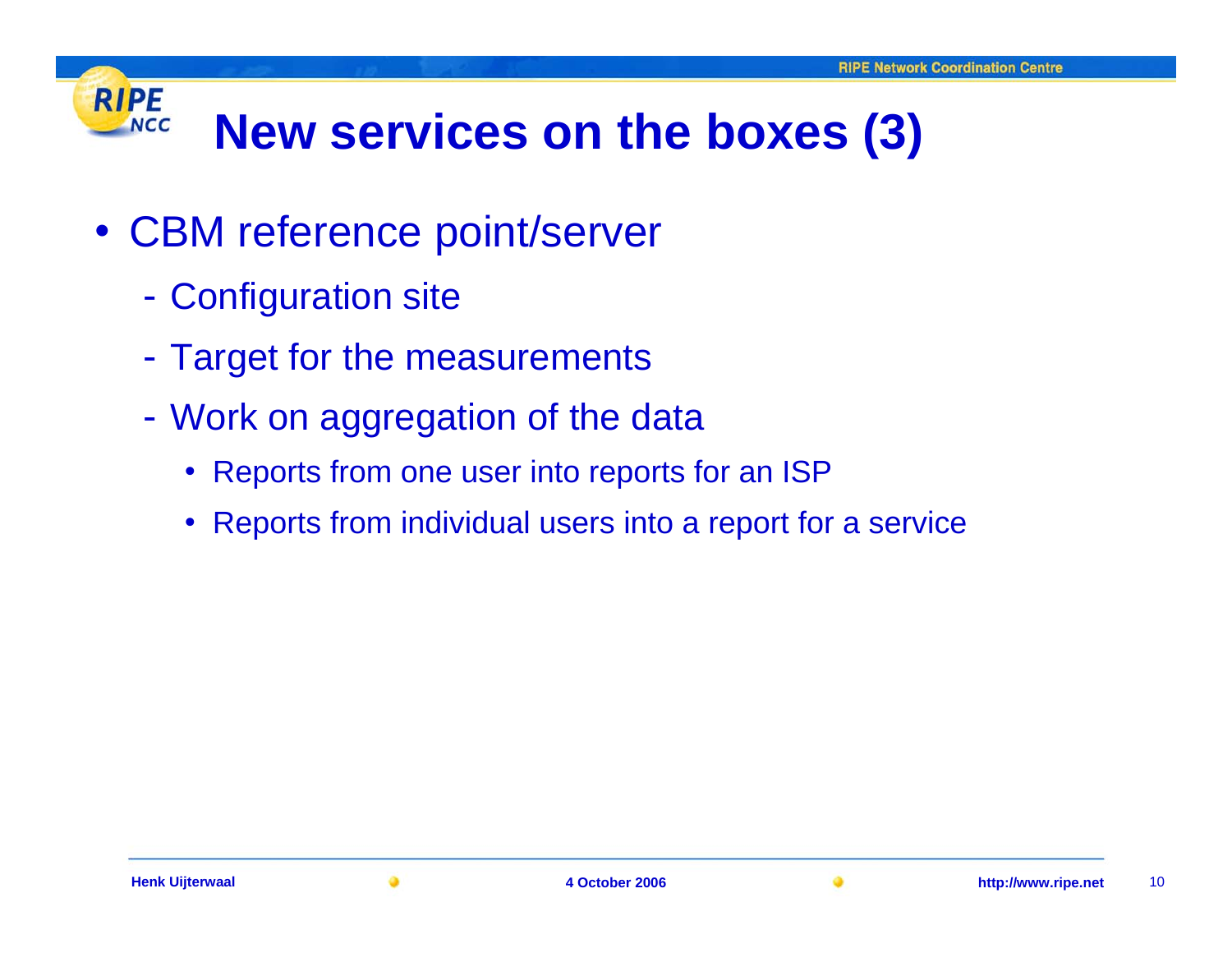#### **RIPE New services on the boxes (3) NCC**

- CBM reference point/server
	- Configuration site
	- Target for the measurements
	- - Work on aggregation of the data
		- Reports from one user into reports for an ISP
		- Reports from individual users into a report for a service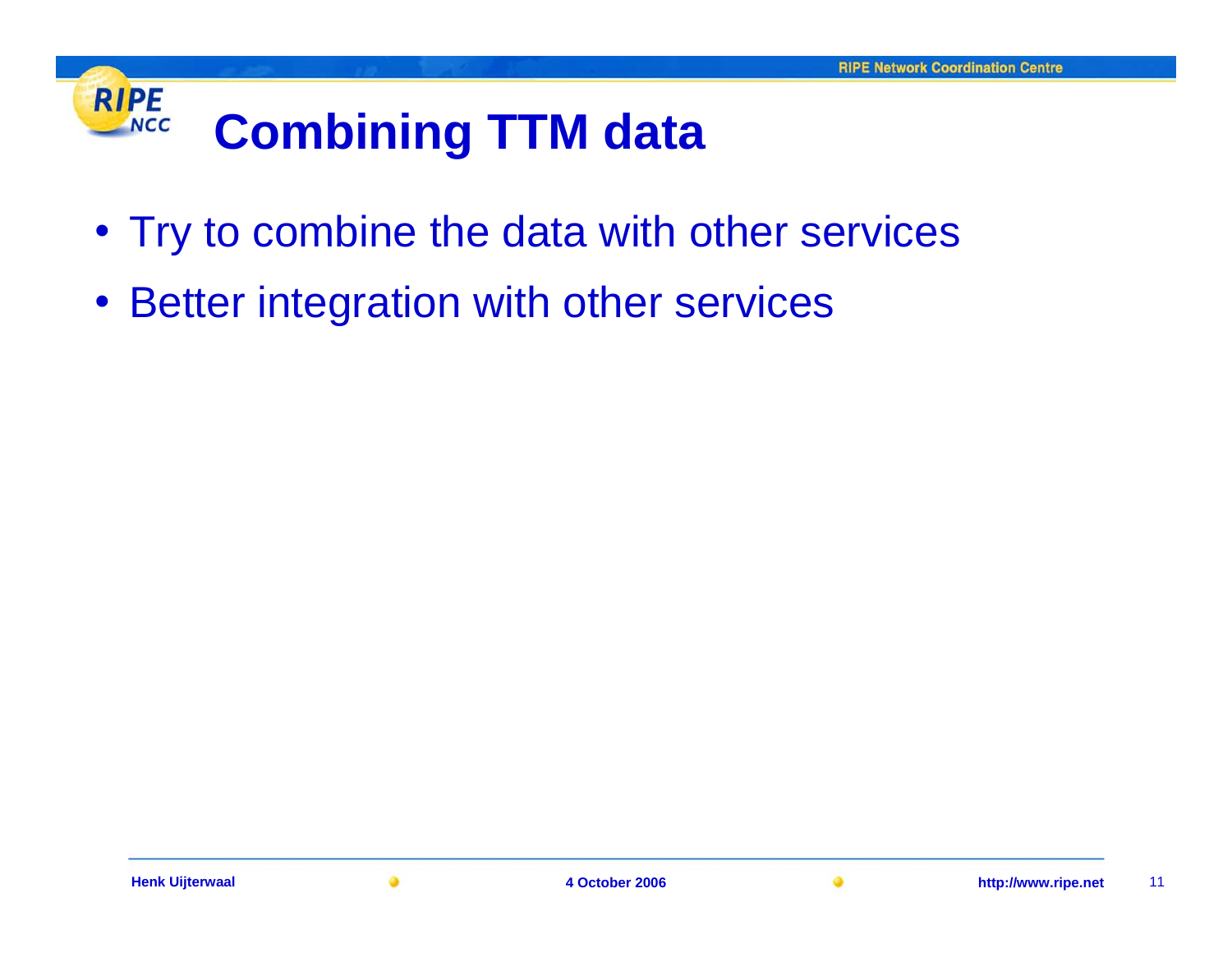## **RIPE Combining TTM data NCC**

- Try to combine the data with other services
- $\bullet$ Better integration with other services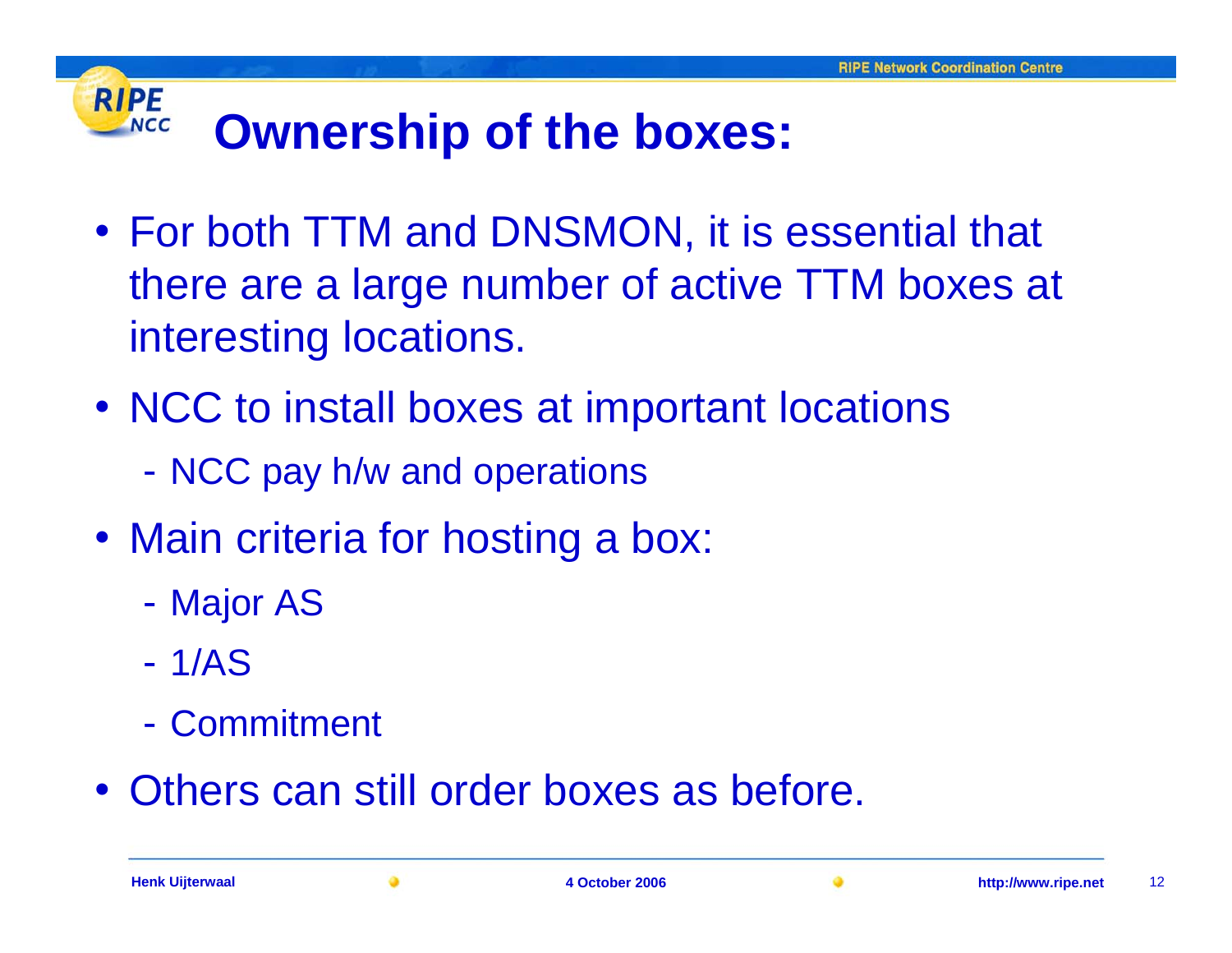## **RIPE Ownership of the boxes: NCC**

- For both TTM and DNSMON, it is essential that there are a large number of active TTM boxes at interesting locations.
- NCC to install boxes at important locations
	- NCC pay h/w and operations
- Main criteria for hosting a box:
	- -Major AS
	- 1/AS
	- Commitment
- Others can still order boxes as before.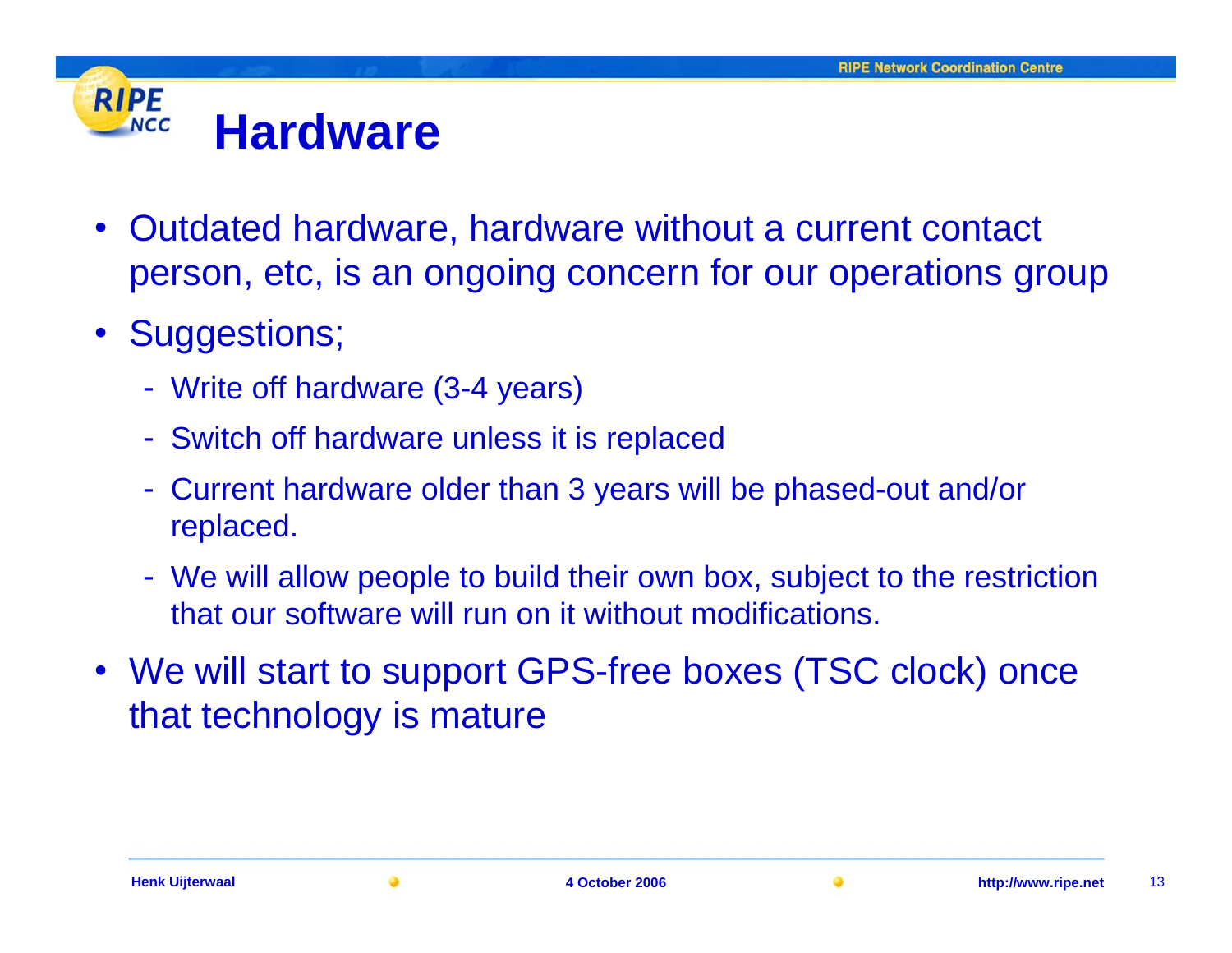#### **RIPE HardwareNCC**

- Outdated hardware, hardware without a current contact person, etc, is an ongoing concern for our operations group
- $\bullet$  Suggestions;
	- Write off hardware (3-4 years)
	- Switch off hardware unless it is replaced
	- Current hardware older than 3 years will be phased-out and/or replaced.
	- We will allow people to build their own box, subject to the restriction that our software will run on it without modifications.
- We will start to support GPS-free boxes (TSC clock) once that technology is mature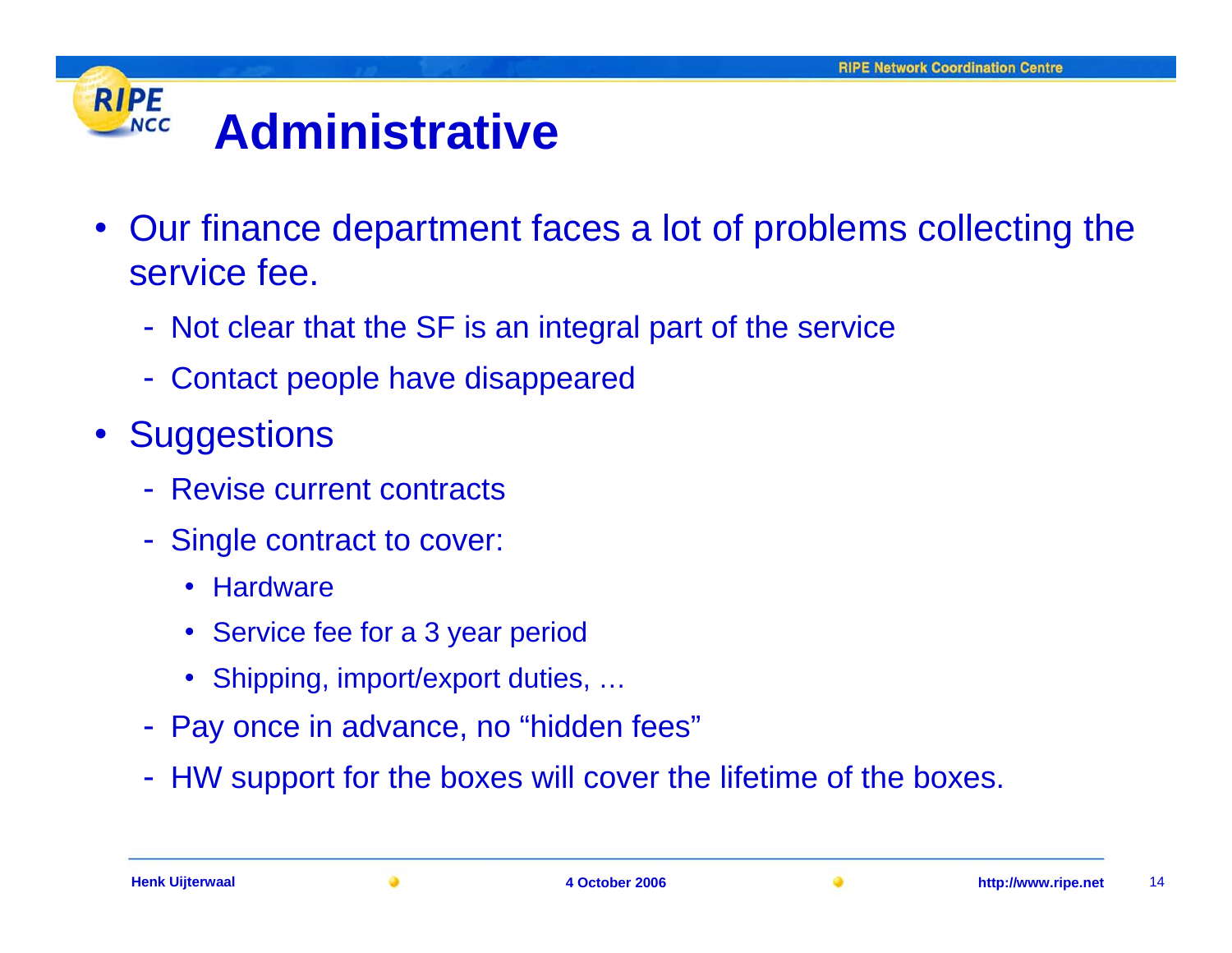## **RIPE AdministrativeNCC**

- Our finance department faces a lot of problems collecting the service fee.
	- Not clear that the SF is an integral part of the service
	- Contact people have disappeared
- $\bullet$ **Suggestions** 
	- Revise current contracts
	- - Single contract to cover:
		- $\bullet$ **Hardware**
		- Service fee for a 3 year period
		- Shipping, import/export duties, …
	- Pay once in advance, no "hidden fees"
	- HW support for the boxes will cover the lifetime of the boxes.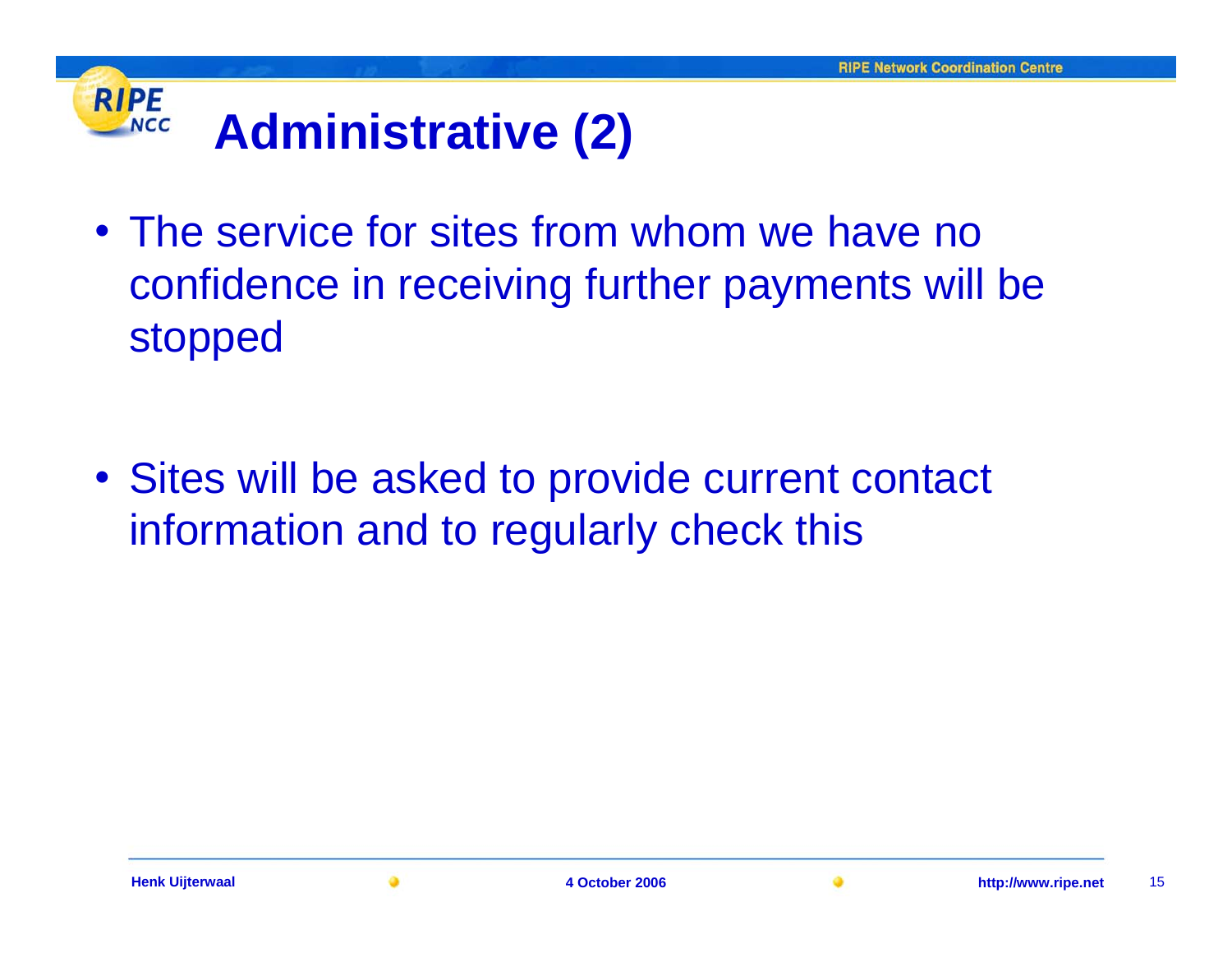## **RIPE NCC Administrative (2)**

• The service for sites from whom we have no confidence in receiving further payments will be stopped

• Sites will be asked to provide current contact information and to regularly check this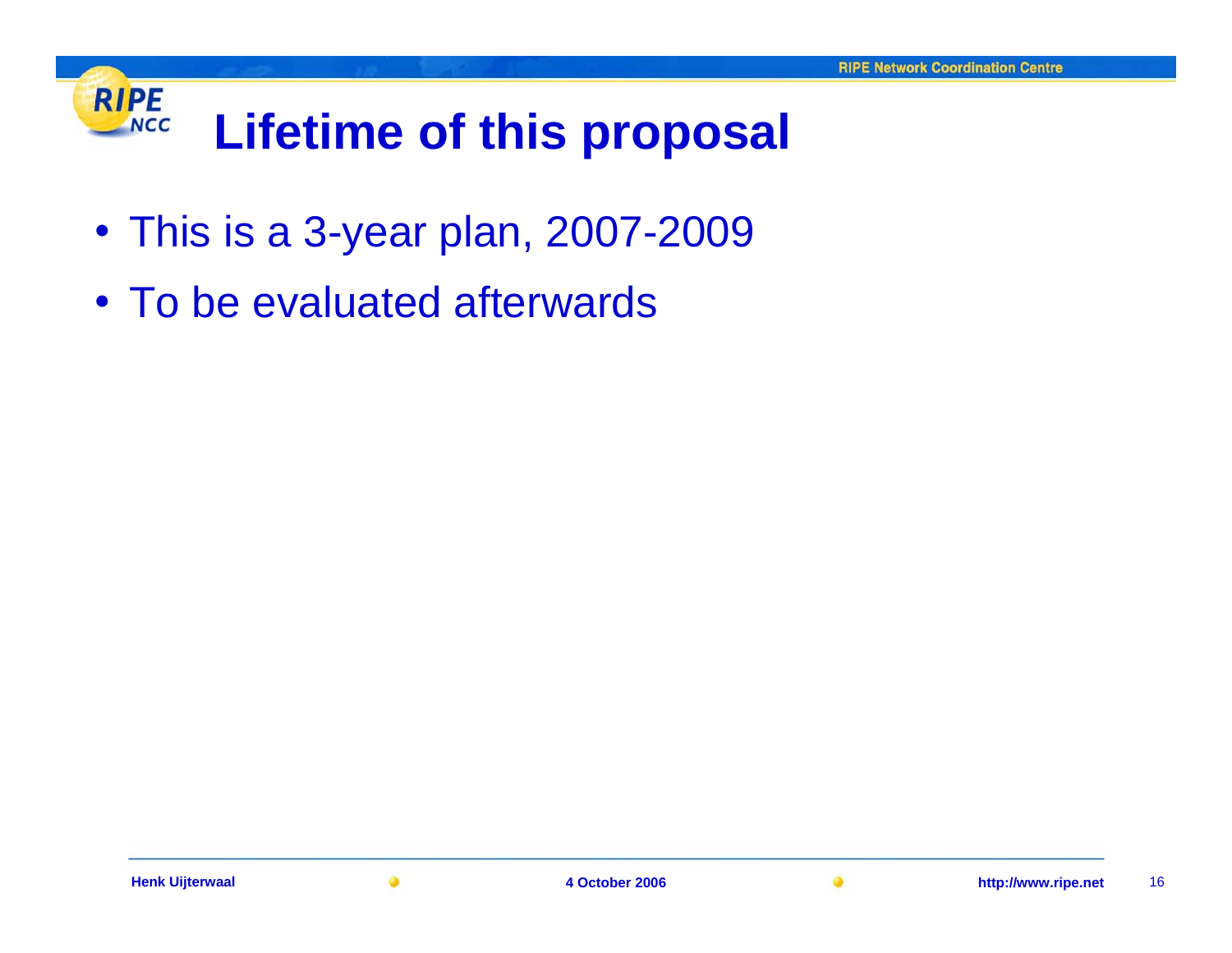## **RIPE Lifetime of this proposal NCC**

- This is a 3-year plan, 2007-2009
- To be evaluated afterwards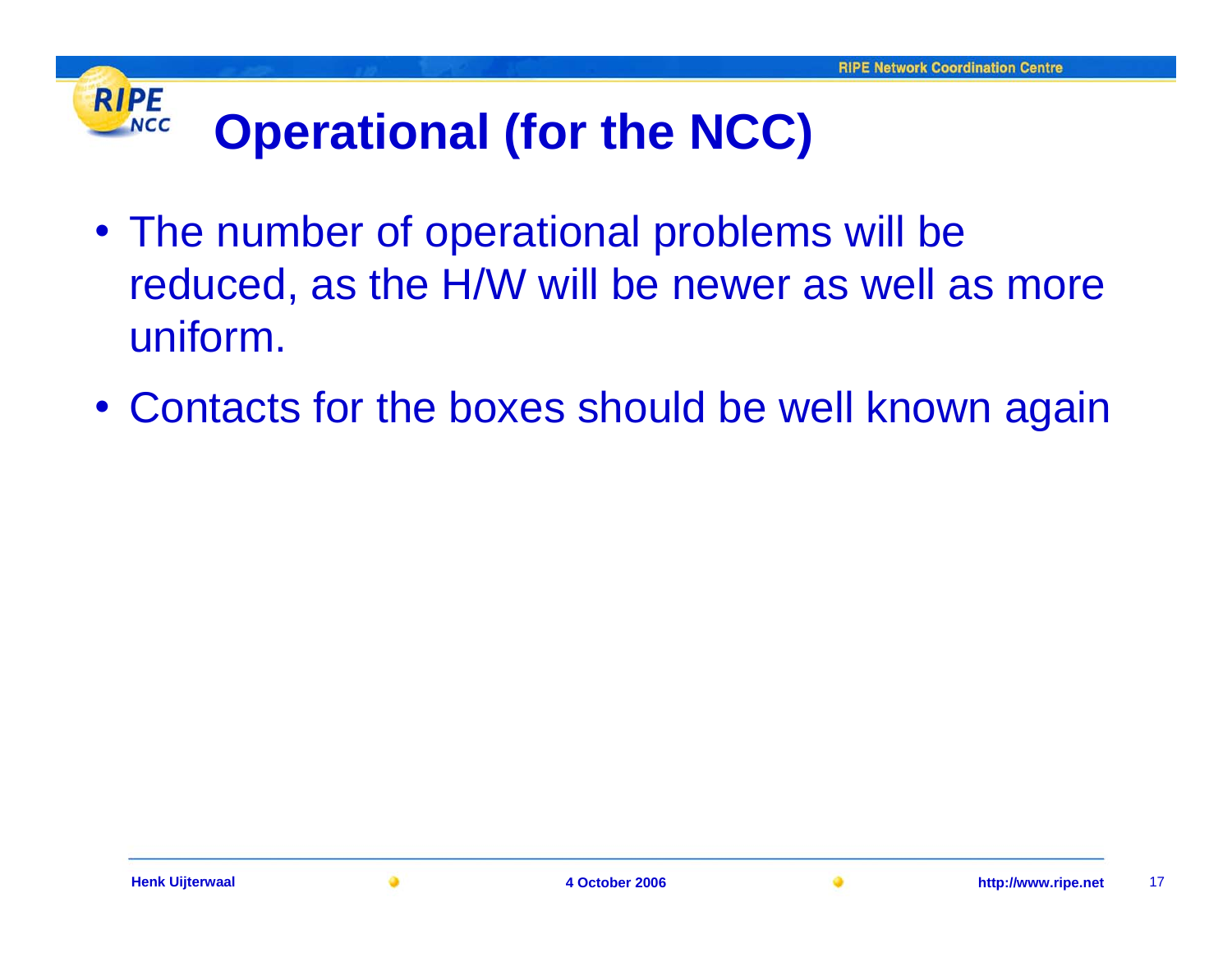## **RIPE Operational (for the NCC) NCC**

- The number of operational problems will be reduced, as the H/W will be newer as well as more uniform.
- Contacts for the boxes should be well known again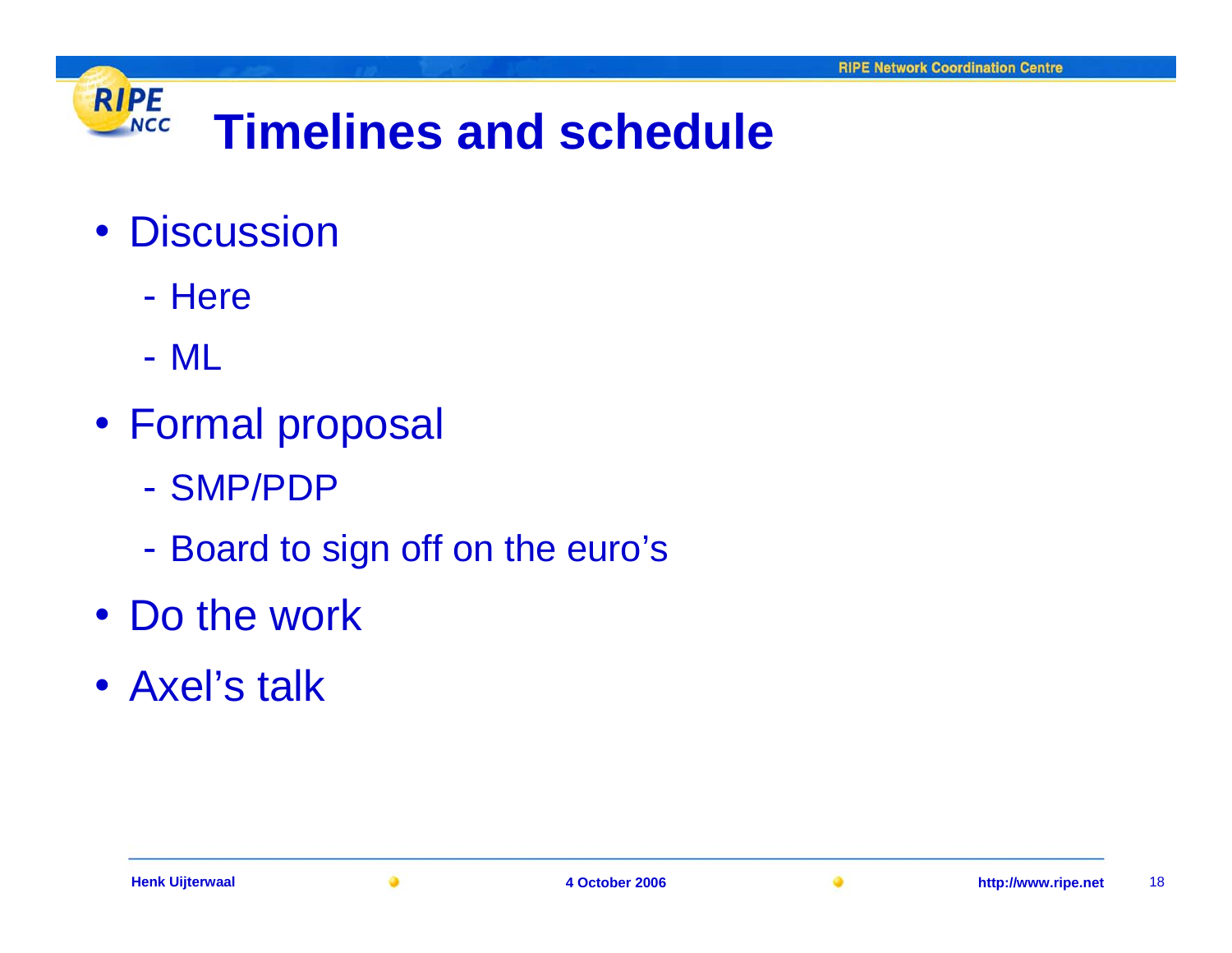

- Discussion
	- Here
	- ML
- Formal proposal
	- SMP/PDP
	- Board to sign off on the euro's
- Do the work
- Axel's talk